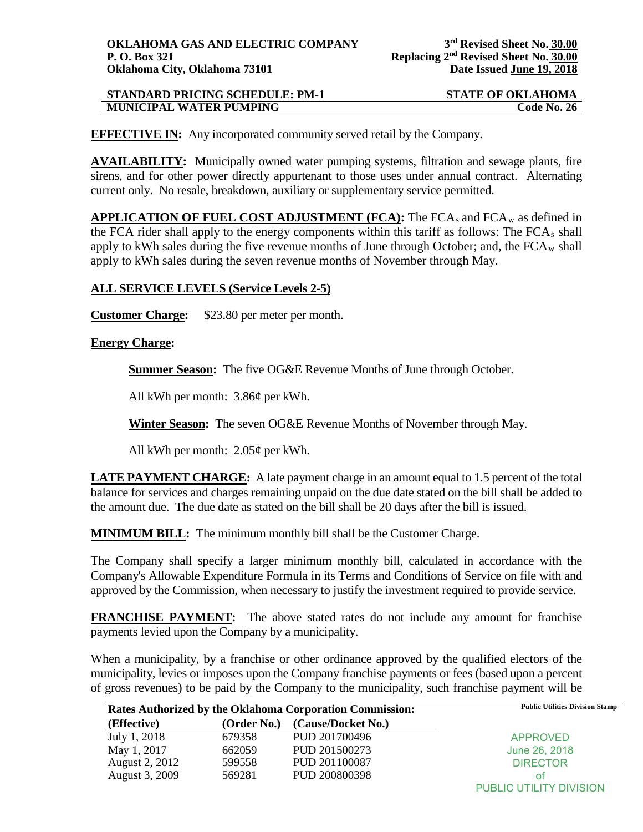| <b>STANDARD PRICING SCHEDULE: PM-1</b> | <b>STATE OF OKLAHOMA</b> |
|----------------------------------------|--------------------------|
| <b>MUNICIPAL WATER PUMPING</b>         | Code No. 26              |

**EFFECTIVE IN:** Any incorporated community served retail by the Company.

**AVAILABILITY:** Municipally owned water pumping systems, filtration and sewage plants, fire sirens, and for other power directly appurtenant to those uses under annual contract. Alternating current only. No resale, breakdown, auxiliary or supplementary service permitted.

**APPLICATION OF FUEL COST ADJUSTMENT (FCA):** The FCAs and FCAw as defined in the FCA rider shall apply to the energy components within this tariff as follows: The  $FCA<sub>s</sub>$  shall apply to kWh sales during the five revenue months of June through October; and, the  $FCA_w$  shall apply to kWh sales during the seven revenue months of November through May.

## **ALL SERVICE LEVELS (Service Levels 2-5)**

**Customer Charge:** \$23.80 per meter per month.

## **Energy Charge:**

**Summer Season:** The five OG&E Revenue Months of June through October.

All kWh per month: 3.86¢ per kWh.

**Winter Season:** The seven OG&E Revenue Months of November through May.

All kWh per month: 2.05¢ per kWh.

**LATE PAYMENT CHARGE:** A late payment charge in an amount equal to 1.5 percent of the total balance for services and charges remaining unpaid on the due date stated on the bill shall be added to the amount due. The due date as stated on the bill shall be 20 days after the bill is issued.

**MINIMUM BILL:** The minimum monthly bill shall be the Customer Charge.

The Company shall specify a larger minimum monthly bill, calculated in accordance with the Company's Allowable Expenditure Formula in its Terms and Conditions of Service on file with and approved by the Commission, when necessary to justify the investment required to provide service.

**FRANCHISE PAYMENT:** The above stated rates do not include any amount for franchise payments levied upon the Company by a municipality.

When a municipality, by a franchise or other ordinance approved by the qualified electors of the municipality, levies or imposes upon the Company franchise payments or fees (based upon a percent of gross revenues) to be paid by the Company to the municipality, such franchise payment will be

| Rates Authorized by the Oklahoma Corporation Commission: |             |                    | <b>Public Utilities Division Stamp</b> |
|----------------------------------------------------------|-------------|--------------------|----------------------------------------|
| (Effective)                                              | (Order No.) | (Cause/Docket No.) |                                        |
| July 1, 2018                                             | 679358      | PUD 201700496      | APPROVED                               |
| May 1, 2017                                              | 662059      | PUD 201500273      | June 26, 2018                          |
| August 2, 2012                                           | 599558      | PUD 201100087      | <b>DIRECTOR</b>                        |
| August 3, 2009                                           | 569281      | PUD 200800398      | οt                                     |
|                                                          |             |                    | <b>PUBLIC UTILITY DIVISION</b>         |